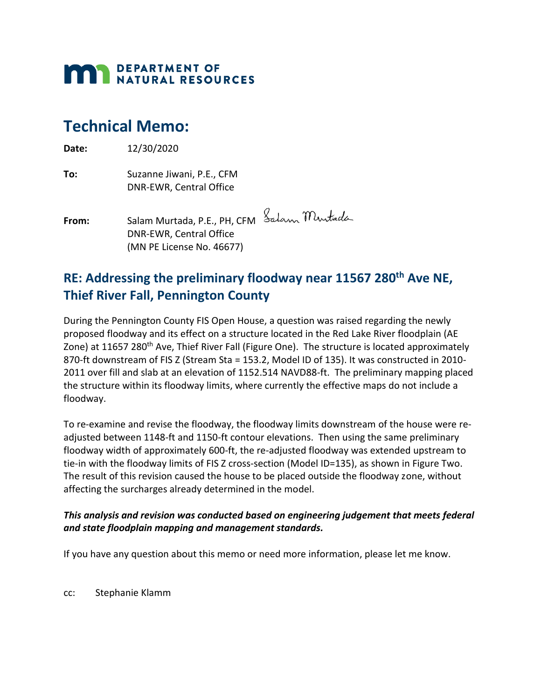

## **Technical Memo:**

**Date:** 12/30/2020

**To:** Suzanne Jiwani, P.E., CFM DNR-EWR, Central Office

**From:** Salam Murtada, P.E., PH, CFM DNR-EWR, Central Office (MN PE License No. 46677)

## **RE: Addressing the preliminary floodway near 11567 280th Ave NE, Thief River Fall, Pennington County**

During the Pennington County FIS Open House, a question was raised regarding the newly proposed floodway and its effect on a structure located in the Red Lake River floodplain (AE Zone) at 11657 280<sup>th</sup> Ave, Thief River Fall (Figure One). The structure is located approximately 870-ft downstream of FIS Z (Stream Sta = 153.2, Model ID of 135). It was constructed in 2010- 2011 over fill and slab at an elevation of 1152.514 NAVD88-ft. The preliminary mapping placed the structure within its floodway limits, where currently the effective maps do not include a floodway.

To re-examine and revise the floodway, the floodway limits downstream of the house were readjusted between 1148-ft and 1150-ft contour elevations. Then using the same preliminary floodway width of approximately 600-ft, the re-adjusted floodway was extended upstream to tie-in with the floodway limits of FIS Z cross-section (Model ID=135), as shown in Figure Two. The result of this revision caused the house to be placed outside the floodway zone, without affecting the surcharges already determined in the model.

## *This analysis and revision was conducted based on engineering judgement that meets federal and state floodplain mapping and management standards.*

If you have any question about this memo or need more information, please let me know.

cc: Stephanie Klamm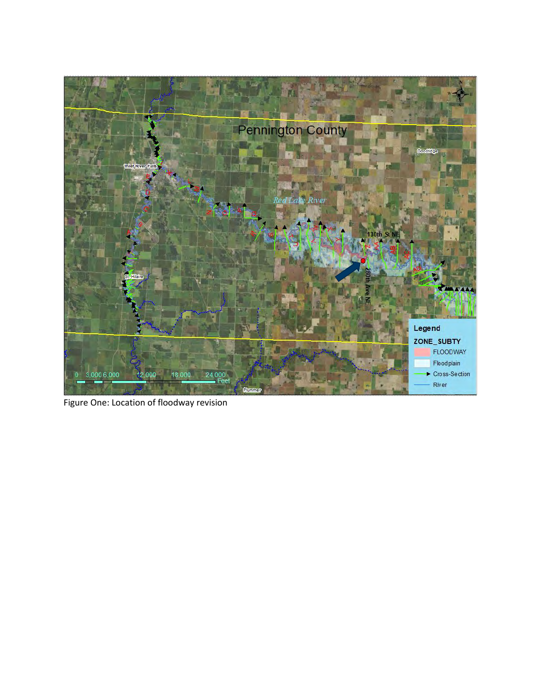

Figure One: Location of floodway revision